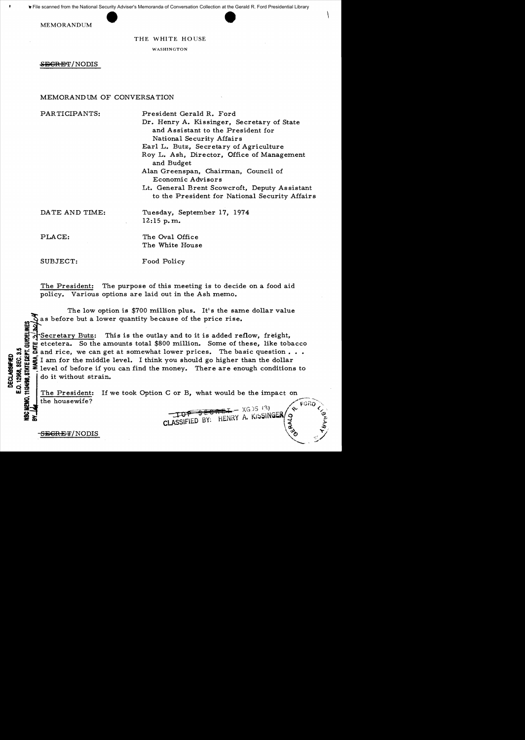File scanned from the National Security Adviser's Memoranda of Conversation Collection at the Gerald R. Ford Presidential Library

MEMORANDUM

### THE WHITE HOUSE

WASHINGTON

<del>SECRET</del>/NODIS

# MEMORANDUM OF CONVERSATION

PARTICIPANTS: President Gerald R. Ford

Dr. Henry A. Kissinger, Secretary of State and Assistant to the President for National Security Affairs

Earl L. Butz, Secretary of Agriculture

Roy L. Ash, Director, Office of Management and Budget

Alan Greenspan, Chairman, Council of Economic Advisors

Lt. General Brent Scowcroft, Deputy Assistant to the President for National Security Affairs

DATE AND TIME: Tuesday, September 17, 1974 12:15 p. m.

PLACE: The Oval Office The White House

SUBJECT: Food Policy

The President: The purpose of this meeting is to decide on a food aid policy. Various options are laid out in the Ash memo.

The low option is  $$700$  million plus. It's the same dollar value Sas before but a lower quantity because of the price rise.<br>
Sas before but a lower quantity because of the price rise.<br>
Secretary Butz: This is the outlay and to it is added response to the amounts total \$800 million. Some Secretary Butz: This is the outlay and to it is added reflow, freight, etcetera. So the amounts total \$800 million. Some of these, like tobacco :  $\sum_{n=1}^{\infty}$  and rice, we can get at somewhat lower prices. The basic question  $\cdots$ <br>  $\sum_{n=1}^{\infty}$  and for the middle level. I think you should go higher than the dollar<br>  $\sum_{n=1}^{\infty}$  level of before if you can fi  $\frac{1}{2}$  is  $\frac{1}{2}$  I am for the middle level. I think you should go higher than the dollar •;<br>see E level of before if you can find the money. There are enough conditions to<br> $\frac{1}{2}$   $\frac{1}{2}$   $\frac{1}{2}$   $\frac{1}{2}$   $\frac$  $\frac{1}{2}$   $\frac{1}{2}$   $\frac{1}{2}$  am for the middle  $\frac{1}{2}$  am for the middle  $\frac{1}{2}$  level of before if your strain.

The President: If we took Option C or B, what would be the impact on  $\frac{1}{2}$  the housewife?<br>  $\frac{1}{2}$  the housewife?<br>  $\frac{1}{2}$   $\frac{1}{2}$   $\frac{1}{2}$   $\frac{1}{2}$   $\frac{1}{2}$   $\frac{1}{2}$   $\frac{1}{2}$   $\frac{1}{2}$   $\frac{1}{2}$   $\frac{1}{2}$   $\frac{1}{2}$   $\frac{1}{2}$   $\frac{1}{2}$   $\frac{1}{2}$   $\frac{1}{2}$   $\frac{1}{2}$   $\frac{1}{2}$ 

 $\begin{array}{ccccc} \mathbf{C} & \mathbf{C} & \mathbf{C} & \mathbf{C} & \mathbf{C} & \mathbf{C} & \mathbf{C} & \mathbf{C} & \mathbf{C} & \mathbf{C} & \mathbf{C} & \mathbf{C} & \mathbf{C} & \mathbf{C} & \mathbf{C} & \mathbf{C} & \mathbf{C} & \mathbf{C} & \mathbf{C} & \mathbf{C} & \mathbf{C} & \mathbf{C} & \mathbf{C} & \mathbf{C} & \mathbf{C} & \mathbf{C} & \mathbf{C} & \mathbf{C} & \mathbf{C} & \mathbf{C} & \math$ 

 $\frac{1}{32}$ SEGRET/NODIS ...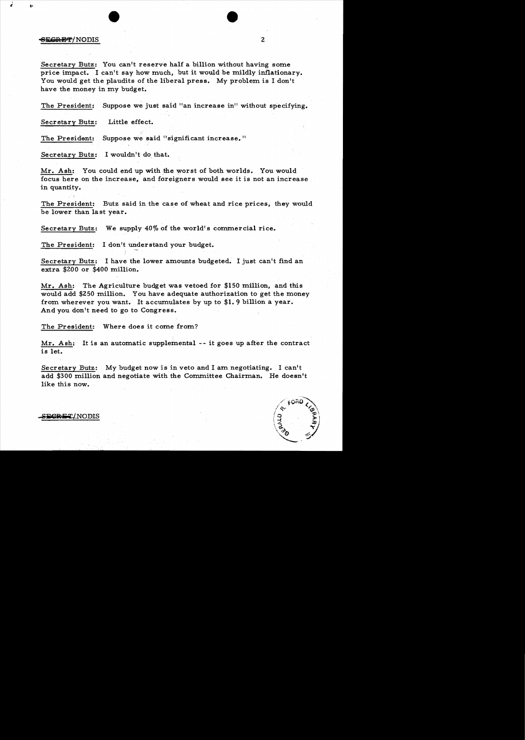## -6:<del>ECRET</del>/NODIS 2

Secretary Butz: You can't reserve half a billion without having some price impact. I can't say how much, but it would be mildly inflationary. You would get the plaudits of the liberal press. My problem is I don't have the money in my budget.

The President: Suppose we just said "an increase in" without specifying.

Secretary Butz: Little effect.

The President: Suppose we said "significant increase."

Secretary Butz: I wouldn't do that.

Mr. Ash: You could end up with the worst of both worlds. You would focus here on the increase, and foreigners would see it is not an increase in quantity.

The President: Butz said in the case of wheat and rice prices, they would be lower than last year.

Secretary Butz: We supply  $40\%$  of the world's commercial rice.

The President: I don't understand your budget.

Secretary Butz: I have the lower amounts budgeted. I just can't find an extra \$200 or \$400 million.

Mr. Ash: The Agriculture budget was vetoed for  $$150$  million, and this would add \$250 million. You have adequate authorization to get the money from wherever you want. It accumulates by up to \$1. 9 billion a year. And you don't need to go to Congress.

The President: Where does it come from?

Mr. Ash: It is an automatic supplemental -- it goes up after the contract is let.

Secretary Butz: My budget now is in veto and I am negotiating. I can't add \$300 million and negotiate with the Committee Chairman. He doesn't like this now.



E<del>CRET</del>/NODIS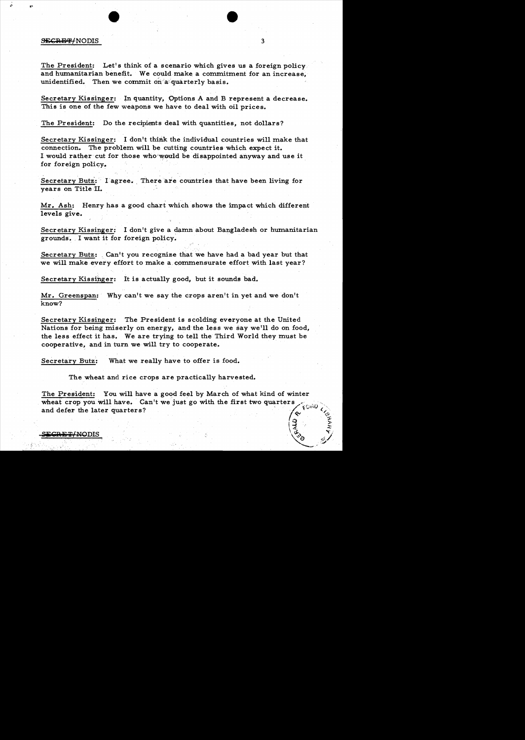### $\overline{\text{SEERBF}}$ /NODIS 3

The President: Let's think of a scenario which gives us a foreign policy. and humanitarian benefit. We could make a commitment for an increase, unidentified. Then we commit on a quarterly basis.

Secretary Kissinger: In quantity, Options A and B represent a decrease. This is one of the few weapons we have to deal with oil prices.

The President: Do the recipients deal with quantities, not dollars?

Secretary Kissinger: I don't think the individual countries will make that connection. The problem will be cutting countries which expect it. I would rather cut for those who would be disappointed anyway and use it for foreign policy:.

Secretary Butz:  $I$  agree. There are countries that have been living for years on Title II.

Mr. Ash: Henry has a good chart which shows the impact which different levels give.

Secretary Kissinger: I don't give a damn about Bangladesh or humanitarian grounds. I want it for foreign policy.

Secretary Butz: Can't you recognize that we have had a bad year but that we will make every effort to make a.commensurate effort with last year?

Secretary Kissinger: It is actually good, but it sounds bad.

Mr. Greenspan: Why can't we say the crops aren't in yet and we don't know?

Secretary Kissinger: The President is scolding everyone at the United Nations for being miserly on energy, and the less we say we'll do on food, the less effect it has. We are trying to tell the Third World they must be cooperative, and in turn we will try to cooperate.

Secretary Butz: What we really have to offer is food.

The wheat and rice crops are practically harvested.

The President: You will have a good feel by March of what kind of winter wheat crop you will have. Can't we just go with the first two quarters and defer the later quarters?

 $\sim$   $\sqrt{\ddot{\zeta}}$   $\sim$   $\sqrt{\ddot{\zeta}}$ 

 $\sim$ 

 $\sim$   $\sim$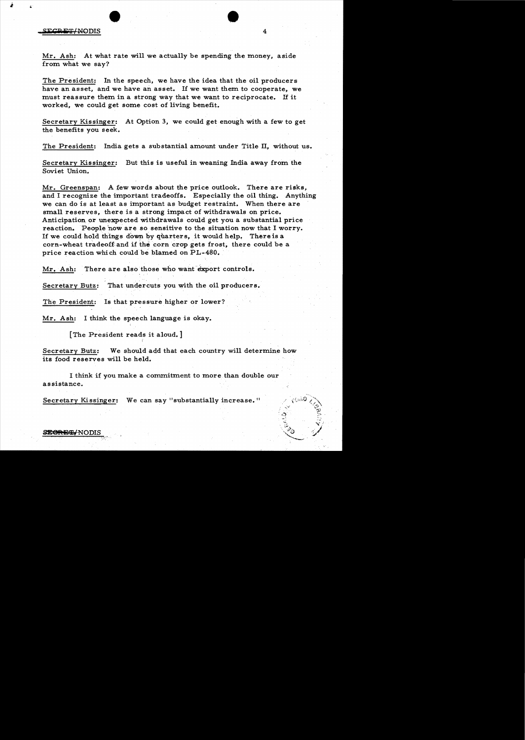### **S1kca**iHr! NODIS

•



The President: In the speech, we have the idea that the oil producers have an asset, and we have an asset. If we want them to cooperate, we must reassure them in a strong way that we want to reciprocate. If it worked, we could get some cost of living benefit.

Secretary Kissinger: At Option 3, we could get enough with a few to get the benefits you seek.

The President: India gets a substantial amount under Title II, without us.

Secretary Kissinger: But this is useful in weaning India away from the Soviet Union.

 $Mr.$  Greenspan: A few words about the price outlook. There are risks, and I recognize the important tradeoffs. Especially the oil thing. Anything we can do is at least as important as budget restraint. When there are small reserves, there is a strong impact of withdrawals on price. Anticipation or unexpected withdrawals could get you a substantial price reaction. People now are so sensitive to the situation now that I worry. If we could hold things down by quarters, it would help. There is a corn-wheat tradeoff and if tne corn crop gets frost, there could be a price reaction which could be blamed on PL-480.

Mr. Ash: There are also those who want export controls.

Secretary Butz: That undercuts you with the oil producers.

The President: Is that pressure higher or lower?

Mr. Ash: I think the speech language is okay.

[The President reads it aloud. ]

Secretary Butz: We should add that each country will determine how its food reserves will be held.

I think if you make a commitment to more than double our assistance.

Secretary Kissinger: We can say "substantially increase."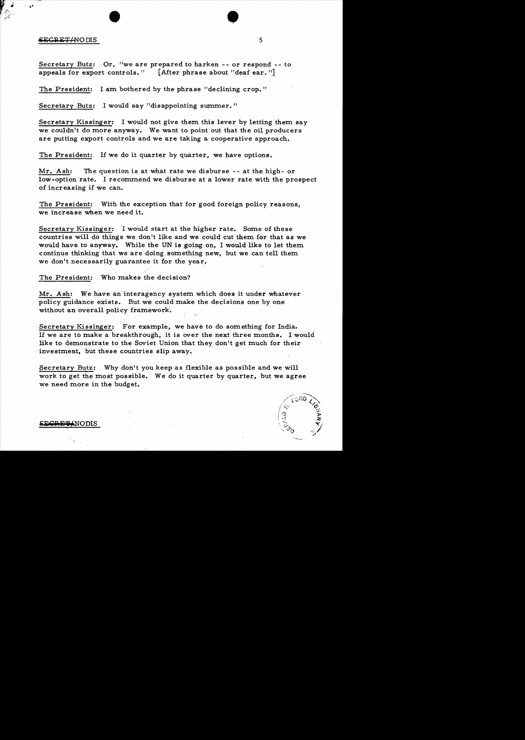# • • ..' essentially controlled by the set of the set of the set of the set of the set of the set of the set of the set of the set of the set of the set of the set of the set of the set of the set of the set of the set of the set o

Secretary Butz: Or, "we are prepared to harken -- or respond -- to appeals for export controls." [After phrase about "deaf ear."]

The President: I am bothered by the phrase "declining crop. "

Secretary Butz: I would say "disappointing summer. "

Secretary Kissinger: I would not give them this lever by letting them say we couldn't do more anyway. We want to point out that the oil producers are putting export controls and we are taking a cooperative approach.

The President: If we do it quarter by quarter, we have options.

Mr. Ash: The question is at what rate we disburse  $-$ - at the high- or low-option rate. I recommend we disburse at a lower rate with the prospect of increasing if we can.

The President: With the exception that for good foreign policy reasons, we increase when we need it.

Secretary Kissinger: I would start at the higher rate. Some of these countries will do things we don't like and we could cut them for that as we would have to anyway. While the UN is going on, I would like to let them continue thinking that we are doing something new, but we can tell them we don't necessarily guarantee it for the year.

The President: Who makes the decision?

Mr. Ash: We have an interagency system which does it under whatever policy guidance exists. But we could make the decisions one by one without an overall policy framework.

Secretary Kissinger: For example, we have to do something for India. If we are to make a breakthrough, it is over the next three months. I would like to demonstrate to the Soviet Union that they don't get much for their investment, but these countries slip away.

Secretary Butz: Why don't you keep as flexible as possible and we will work to get the most possible. We do it quarter by quarter, but we agree we need more in the budget.



SE<del>CRET</del>ANODIS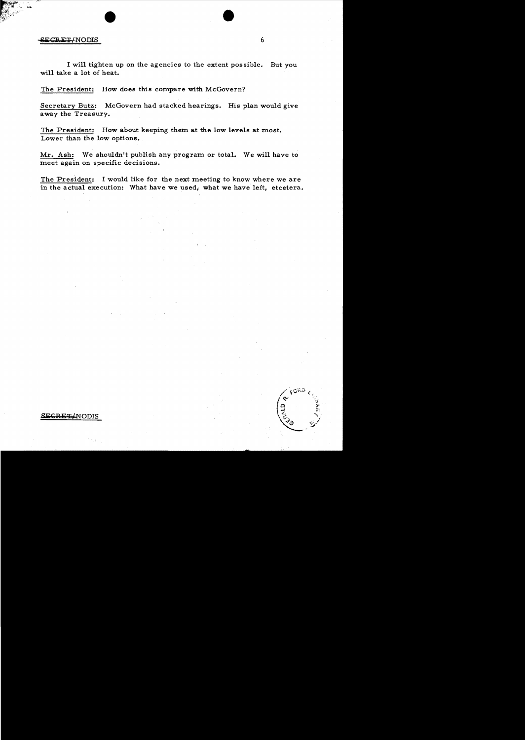# external production of the contract of the contract of the contract of the contract of the contract of the contract of the contract of the contract of the contract of the contract of the contract of the contract of the con

I will tighten up on the agencies to the extent possible. But you will take a lot of heat.

The President: How does this compare with McGovern?

Secretary Butz: McGovern had stacked hearings. His plan would give away the Treasury.

The President: How about keeping them at the low levels at most. Lower than the low options.

Mr. Ash: We shouldn't publish any program or total. We will have to meet again on specific decisions.

The President: I would like for the next meeting to know where we are in the actual execution: What have we used, what we have left, etcetera.

هنتنء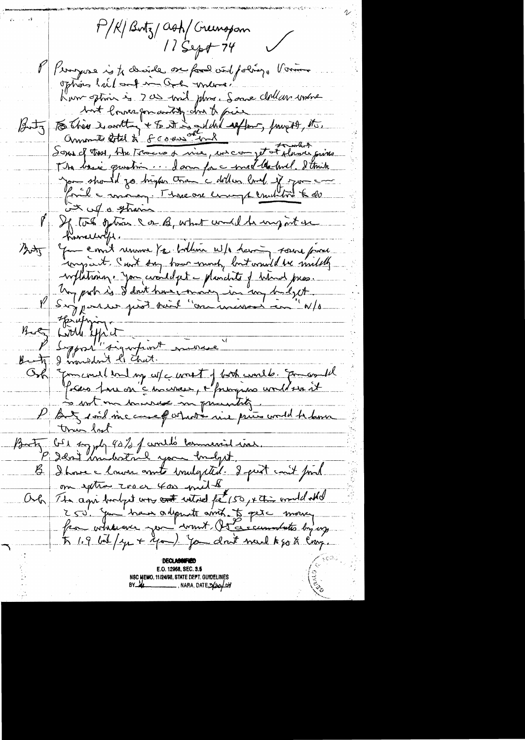P/K/Butz/ash/Creenopon  $11$  Sept 74 P/ Perryone is te charide me fouil viol poling. Vonne options half and man and mande have option is 200 mil phra. Some dollars wohnt Sont louve for dockty che to pier fragger to. The basic question. A ann for a met the hull. I think Jan should go higher tran 'a dollar land of spon and Koul - money. Me one comptemited to de  $x \times 10$  of  $x$  strain If tot gtas ca B, what wild be my out on Jame emit remement par bollion ut la harrin source pour ハシャル -viflationne you civiledget - planchets of himsel pros. Un portre de S dont have money in my budget Butz Lord officit 1 million Osk Jomenel en lang ces e worst y both courles quantil D'Autom minue injuicitif. three last Butz Cre syste 40% of control termineraid incl. P 22ni industrie you endpot.<br>B I house Mourre ant indigeted. I prit cout print on extra zoo a cas mit the Och The agriculture and withed feel 50, 4 this would still 250' you bran adjente avril. Je pet mois  $\pi$  1.9 bit  $\left( y_{\mu} + \frac{\chi}{\mu} \right)$ . You don't mult by the Cross. E.O. 12968. SEC. 3.5 NSC MEMO, 11/24/98, STATE DEPT. GUIDELINES  $BY$   $M$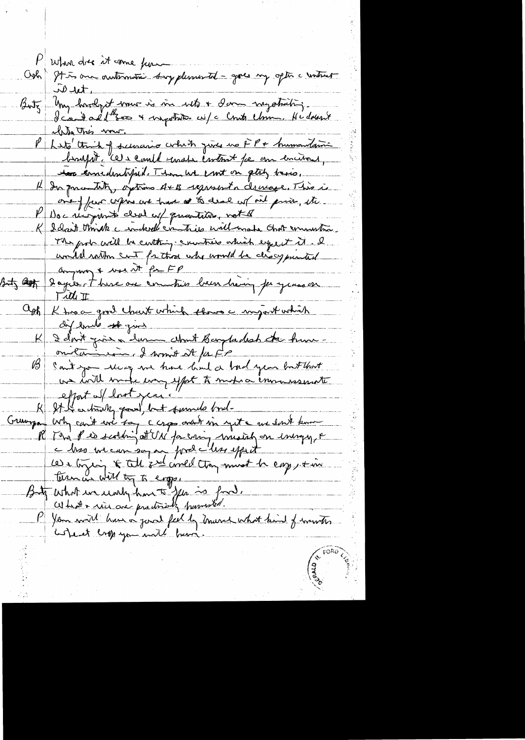P when dres it come pour Odo It is one automotic surpplemental - goes my option construct  $W_{\text{u}}$ Butz Uny hardyst mour is in with a dame mystrating.<br>I can't all three a mystritic wife Count Chine, He doesn't chita This mou. P Let think of survario colut just no FP + humandami brufst, cets could under content pe on encions, to knedentified. Then we can't on getily basis, 14 In quantity, options A+B regissant a decree e. This is one y feur cryers en trave at to deal of oil prior, etc. K I don't think a indeed communis will-make that communismon. The pole will be cutting countries which eyes it it. I would within cut for those who would be discognished anyway & was at for FP Butz <del>assi</del> dans le time au communis buen hain jeungens en ask Ktroc grow chart which there a surjust which I dont poie à lum chat Barpadesh de hum - ${\sf K}$ oniet in the formit it for former and there  $\mathscr{G}$ effort of lost year! Gunga who can't good, but surveyed bride in each know P Your will have a joint feel by murch what kind of wantes wheret engeyon mit have.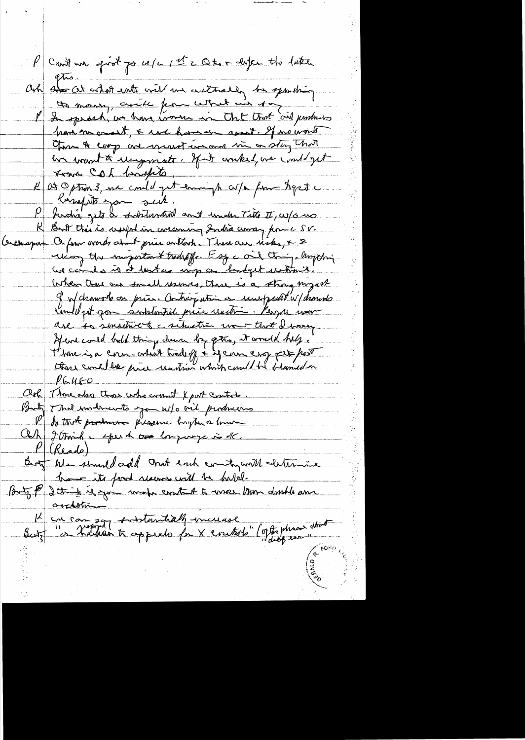Croit un post po ce/c 1et 2 Otro desper the latter. ash and at what with will we witholly be sporting. the money, auch from what in top I Int constant, we know income in that that and pushious have ne asset, & use have asset. If no work the A cop are great in one in a stay that ha want to recepments. If it worked we continue France Coh braspeto, at Option 3, me could get eveningt co/a from hepet  $\mu_{\perp}$ compte you sent.  $P_{+}$ hidra gets & schtanten ant inder Tite II, w/s us But this is useful in coccaring India amay pouce SV. Orchapon O four overs about price author : Thereau, risks, x 2 reias the important tradefor. I so a oil things anything une cando is it bestas mip a bandget retimile. When there are small usinces, there is a strong myself of of chowork on pries. Anticre which is unuprent w/ dronools Commell pet gon substantial price undri. Perger war use is smallwet a schwetin want tust I were Hence could half thing down by gtres, it would help . those is a corn-cohart tood of i if can croy per port  $116460$ Och Those also those who want X port control. But That underwite you w/ o ail produces Och I Amind e sperk over empire is the Buty We smuldcedd and each comtogeneill chtermine have its food recover with he habit. Buty P 2 think is you wake cratant a weer trom double and outtothe 12 en compozy substantialy increase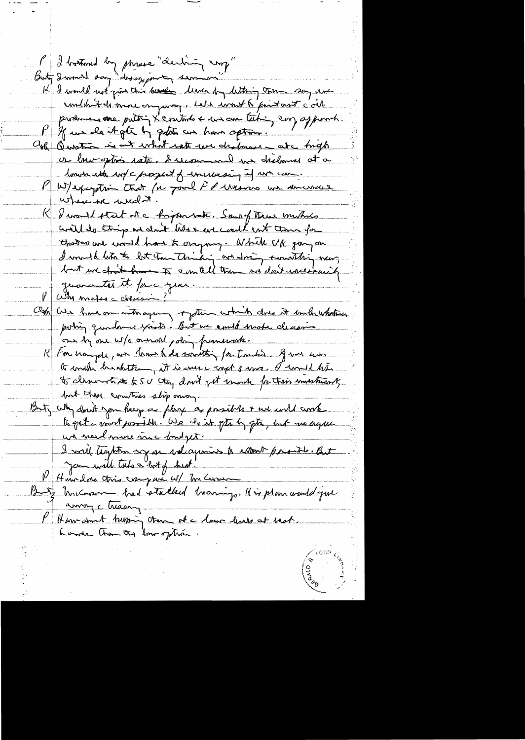P I battoned boy phrase "decling vop" K I would not give this know line by letting tran song en condit de more on part, celle cont le point autre c'oil produces avec puttin X essituts & un au Citin, eux appoint. P If we do it gets by gotats are have option. Osh Question is and what not we destman - at map or low sptin rate. I womand we children at a lower with not c prosect of increasing inf war can P W/exception that for poul FP wasness un semencer where we week it. R I would start at a highwarter. Some of These mustains will do thing and don't like are could not those for those we would have to one may While UM gang on I multiplat to lot tom thinking and doing constiting overy but we about how to a mitell the was don't incertainly guarantes it force your. <u>Commates cloensin ?"</u> Our We have one with again of fotun which does it much whatras poting quantemes yasts. But we could make decision our by our w/o ormand poling framework. R contra per, an home to do something for tranhies. I was used te constru hindette, it is ever i royot 3 ma. I would him but the compties slip oncom. Buty why don't gon heavy a flory as possible & we will contenue un needmore me fondpet. I will temption up on valagement to extent posite. But P Hourdois compar av meure But Incream had stalked transig. His plan would you anny chasing P Harn avont tremin tous et a lanc levels at tract.